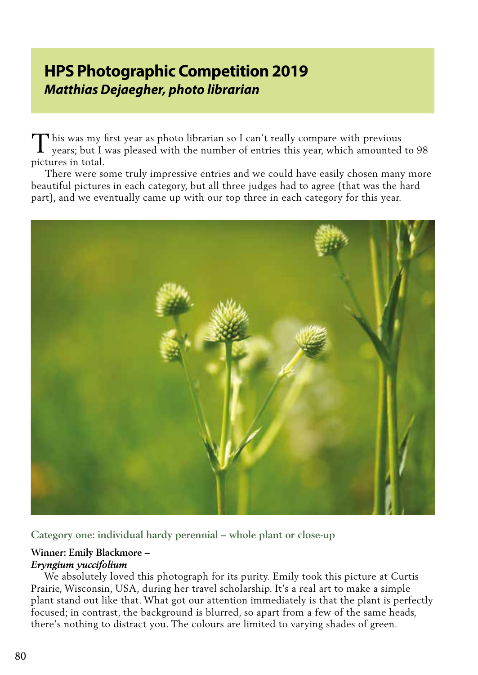# **HPS Photographic Competition 2019** *Matthias Dejaegher, photo librarian*

his was my first year as photo librarian so I can't really compare with previous  $\prod$  his was my first year as photo librarian so I can't really compare with previous years; but I was pleased with the number of entries this year, which amounted to 98 pictures in total.

 There were some truly impressive entries and we could have easily chosen many more beautiful pictures in each category, but all three judges had to agree (that was the hard part), and we eventually came up with our top three in each category for this year.



## **Category one: individual hardy perennial – whole plant or close-up**

#### **Winner: Emily Blackmore –**  *Eryngium yuccifolium*

 We absolutely loved this photograph for its purity. Emily took this picture at Curtis Prairie, Wisconsin, USA, during her travel scholarship. It's a real art to make a simple plant stand out like that. What got our attention immediately is that the plant is perfectly focused; in contrast, the background is blurred, so apart from a few of the same heads, there's nothing to distract you. The colours are limited to varying shades of green.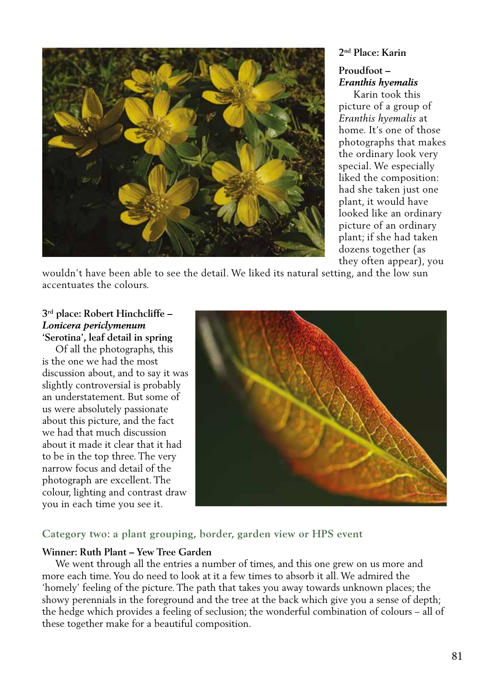

#### **2nd Place: Karin**

## **Proudfoot –** *Eranthis hyemalis*

 Karin took this picture of a group of *Eranthis hyemalis* at home. It's one of those photographs that makes the ordinary look very special. We especially liked the composition: had she taken just one plant, it would have looked like an ordinary picture of an ordinary plant; if she had taken dozens together (as they often appear), you

wouldn't have been able to see the detail. We liked its natural setting, and the low sun accentuates the colours.

#### **3rd place: Robert Hinchcliffe –**  *Lonicera periclymenum* **'Serotina', leaf detail in spring**

 Of all the photographs, this is the one we had the most discussion about, and to say it was slightly controversial is probably an understatement. But some of us were absolutely passionate about this picture, and the fact we had that much discussion about it made it clear that it had to be in the top three. The very narrow focus and detail of the photograph are excellent. The colour, lighting and contrast draw you in each time you see it.



## **Category two: a plant grouping, border, garden view or HPS event**

#### **Winner: Ruth Plant – Yew Tree Garden**

 We went through all the entries a number of times, and this one grew on us more and more each time. You do need to look at it a few times to absorb it all. We admired the 'homely' feeling of the picture. The path that takes you away towards unknown places; the showy perennials in the foreground and the tree at the back which give you a sense of depth; the hedge which provides a feeling of seclusion; the wonderful combination of colours – all of these together make for a beautiful composition.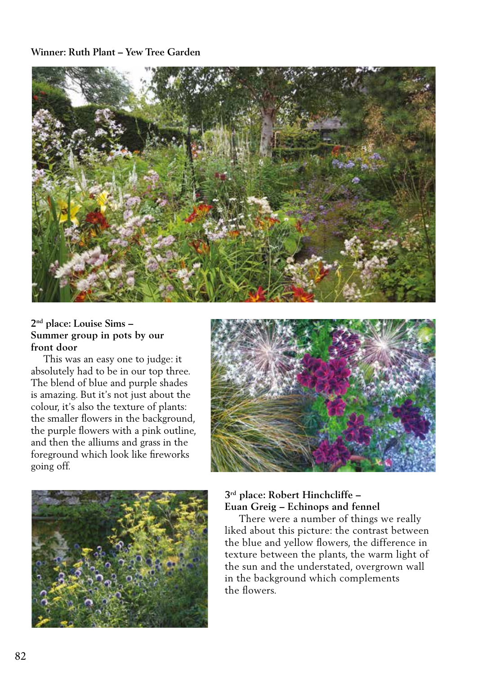#### **Winner: Ruth Plant – Yew Tree Garden**



#### **2nd place: Louise Sims – Summer group in pots by our front door**

 This was an easy one to judge: it absolutely had to be in our top three. The blend of blue and purple shades is amazing. But it's not just about the colour, it's also the texture of plants: the smaller flowers in the background, the purple flowers with a pink outline, and then the alliums and grass in the foreground which look like fireworks going off.





## **3rd place: Robert Hinchcliffe – Euan Greig – Echinops and fennel**

 There were a number of things we really liked about this picture: the contrast between the blue and yellow flowers, the difference in texture between the plants, the warm light of the sun and the understated, overgrown wall in the background which complements the flowers.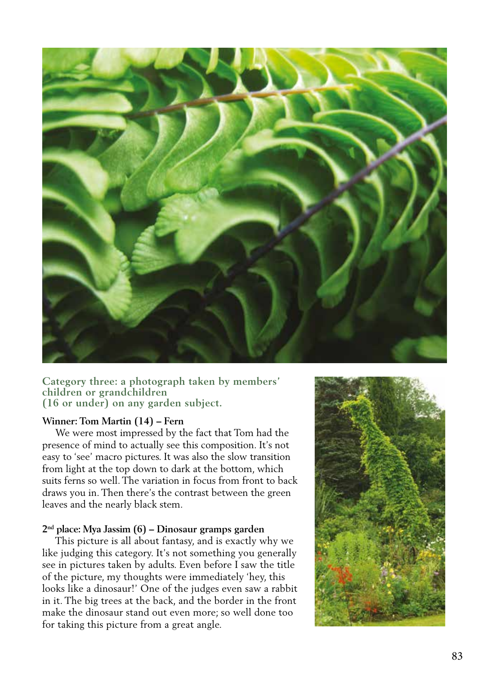

**Category three: a photograph taken by members' children or grandchildren (16 or under) on any garden subject.**

#### **Winner: Tom Martin (14) – Fern**

 We were most impressed by the fact that Tom had the presence of mind to actually see this composition. It's not easy to 'see' macro pictures. It was also the slow transition from light at the top down to dark at the bottom, which suits ferns so well. The variation in focus from front to back draws you in. Then there's the contrast between the green leaves and the nearly black stem.

#### **2nd place: Mya Jassim (6) – Dinosaur gramps garden**

 This picture is all about fantasy, and is exactly why we like judging this category. It's not something you generally see in pictures taken by adults. Even before I saw the title of the picture, my thoughts were immediately 'hey, this looks like a dinosaur!' One of the judges even saw a rabbit in it. The big trees at the back, and the border in the front make the dinosaur stand out even more; so well done too for taking this picture from a great angle.